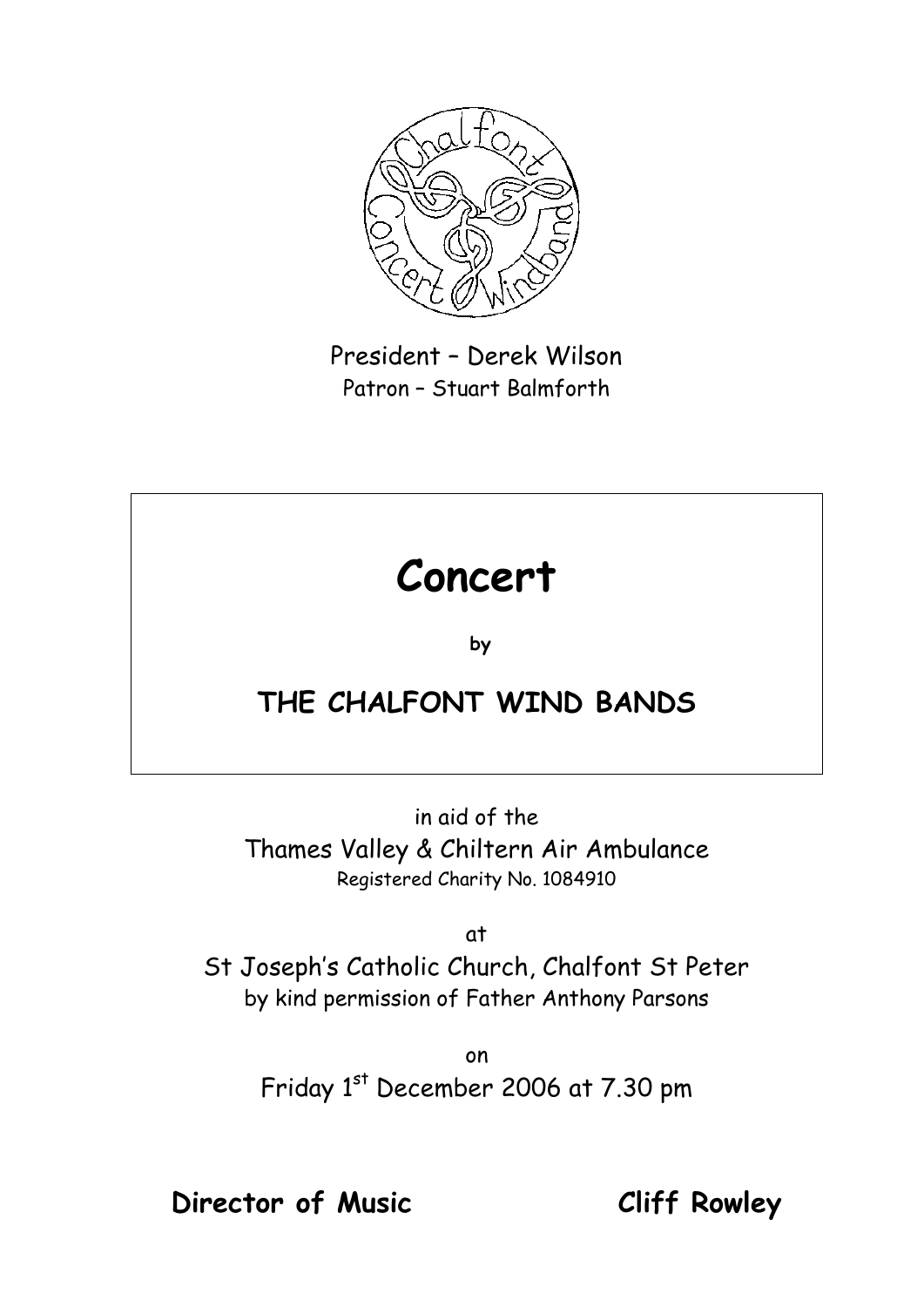

President – Derek Wilson Patron – Stuart Balmforth

# **Concert**

**by** 

## **THE CHALFONT WIND BANDS**

in aid of the Thames Valley & Chiltern Air Ambulance Registered Charity No. 1084910

at

St Joseph's Catholic Church, Chalfont St Peter by kind permission of Father Anthony Parsons

> on Friday 1st December 2006 at 7.30 pm

**Director of Music Cliff Rowley**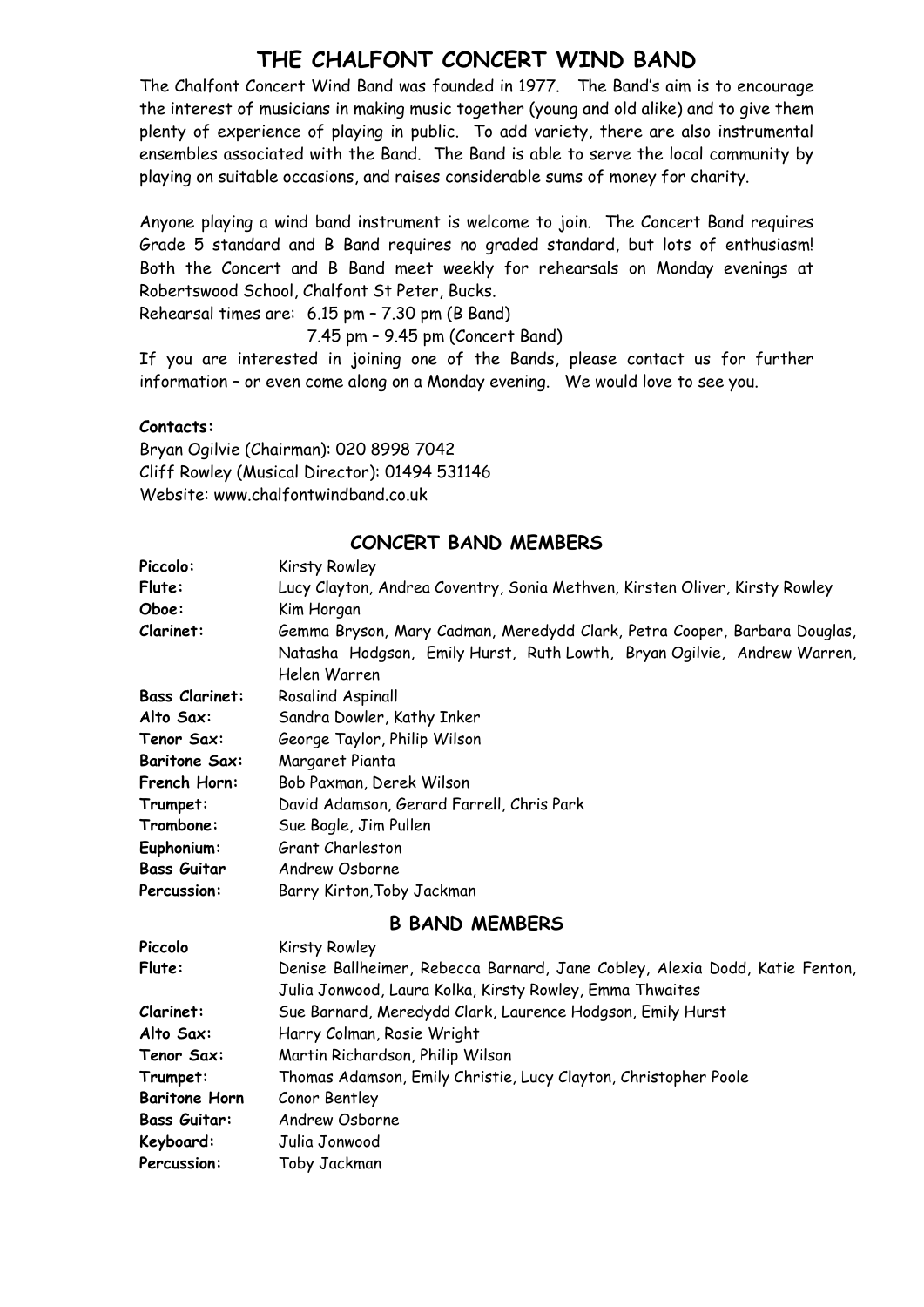#### **THE CHALFONT CONCERT WIND BAND**

The Chalfont Concert Wind Band was founded in 1977. The Band's aim is to encourage the interest of musicians in making music together (young and old alike) and to give them plenty of experience of playing in public. To add variety, there are also instrumental ensembles associated with the Band. The Band is able to serve the local community by playing on suitable occasions, and raises considerable sums of money for charity.

Anyone playing a wind band instrument is welcome to join. The Concert Band requires Grade 5 standard and B Band requires no graded standard, but lots of enthusiasm! Both the Concert and B Band meet weekly for rehearsals on Monday evenings at Robertswood School, Chalfont St Peter, Bucks.

Rehearsal times are: 6.15 pm – 7.30 pm (B Band)

#### 7.45 pm – 9.45 pm (Concert Band)

If you are interested in joining one of the Bands, please contact us for further information – or even come along on a Monday evening. We would love to see you.

#### **Contacts:**

Bryan Ogilvie (Chairman): 020 8998 7042 Cliff Rowley (Musical Director): 01494 531146 Website: www.chalfontwindband.co.uk

#### **CONCERT BAND MEMBERS**

| Piccolo:              | Kirsty Rowley                                                               |
|-----------------------|-----------------------------------------------------------------------------|
| Flute:                | Lucy Clayton, Andrea Coventry, Sonia Methven, Kirsten Oliver, Kirsty Rowley |
| Oboe:                 | Kim Horgan                                                                  |
| Clarinet:             | Gemma Bryson, Mary Cadman, Meredydd Clark, Petra Cooper, Barbara Douglas,   |
|                       | Natasha Hodgson, Emily Hurst, Ruth Lowth, Bryan Ogilvie, Andrew Warren,     |
|                       | Helen Warren                                                                |
| <b>Bass Clarinet:</b> | Rosalind Aspinall                                                           |
| Alto Sax:             | Sandra Dowler, Kathy Inker                                                  |
| Tenor Sax:            | George Taylor, Philip Wilson                                                |
| <b>Baritone Sax:</b>  | Margaret Pianta                                                             |
| French Horn:          | Bob Paxman, Derek Wilson                                                    |
| Trumpet:              | David Adamson, Gerard Farrell, Chris Park                                   |
| Trombone:             | Sue Bogle, Jim Pullen                                                       |
| Euphonium:            | Grant Charleston                                                            |
| <b>Bass Guitar</b>    | Andrew Osborne                                                              |
| Percussion:           | Barry Kirton, Toby Jackman                                                  |
|                       | <b>B BAND MEMBERS</b>                                                       |
| Piccolo               | Kirsty Rowley                                                               |
| Flute:                | Denise Ballheimer, Rebecca Barnard, Jane Cobley, Alexia Dodd, Katie Fenton, |
|                       |                                                                             |

| Denise Ballheimer, Rebecca Barnard, Jane Cobley, Alexia Dodd, Katie Fento |
|---------------------------------------------------------------------------|
| Julia Jonwood, Laura Kolka, Kirsty Rowley, Emma Thwaites                  |
| Sue Barnard, Meredydd Clark, Laurence Hodgson, Emily Hurst                |
| Harry Colman, Rosie Wright                                                |
| Martin Richardson, Philip Wilson                                          |
| Thomas Adamson, Emily Christie, Lucy Clayton, Christopher Poole           |
| Conor Bentley                                                             |
| Andrew Osborne                                                            |
| Julia Jonwood                                                             |
| Toby Jackman                                                              |
|                                                                           |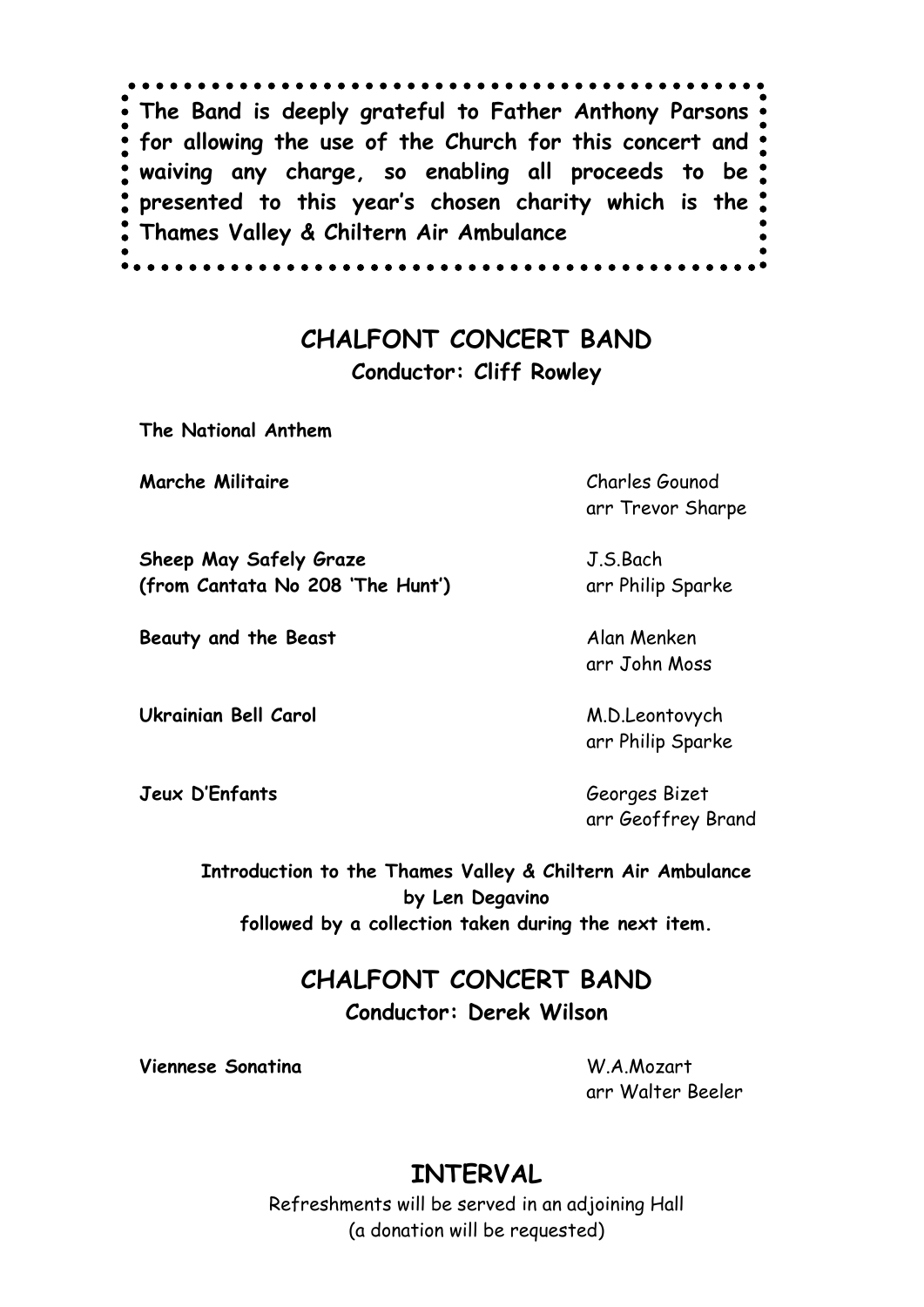. . . . . . . . . . . . . . **The Band is deeply grateful to Father Anthony Parsons for allowing the use of the Church for this concert and waiving any charge, so enabling all proceeds to be presented to this year's chosen charity which is the Thames Valley & Chiltern Air Ambulance**. . . . . . . . . . . .

### **CHALFONT CONCERT BAND Conductor: Cliff Rowley**

**The National Anthem**

**Marche Militaire** Charles Gounod

**Sheep May Safely Graze** J.S.Bach **(from Cantata No 208 'The Hunt')** arr Philip Sparke

**Beauty and the Beast** Alan Menken

**Ukrainian Bell Carol** M.D.Leontovych

**Jeux D'Enfants** Georges Bizet

arr Trevor Sharpe

arr John Moss

arr Philip Sparke

arr Geoffrey Brand

**Introduction to the Thames Valley & Chiltern Air Ambulance by Len Degavino followed by a collection taken during the next item.**

#### **CHALFONT CONCERT BAND**

**Conductor: Derek Wilson**

**Viennese Sonatina** W.A.Mozart

arr Walter Beeler

## **INTERVAL**

Refreshments will be served in an adjoining Hall (a donation will be requested)